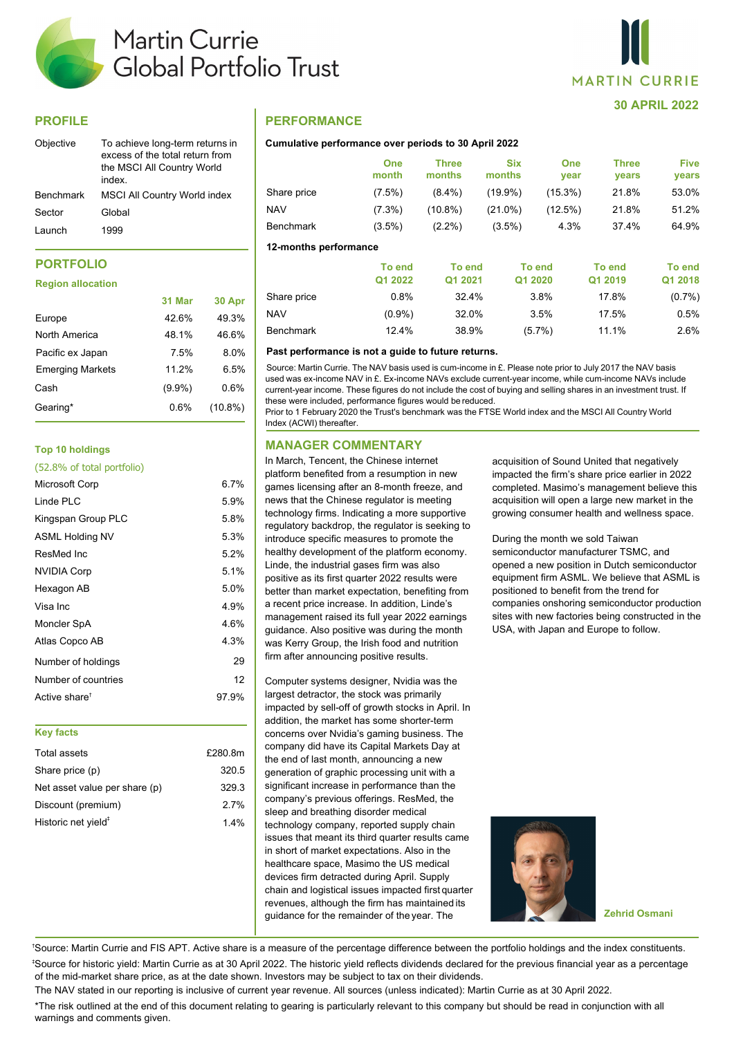

# **PROFILE**

| Objective        | To achieve long-term returns in<br>excess of the total return from<br>the MSCI All Country World<br>index |
|------------------|-----------------------------------------------------------------------------------------------------------|
| <b>Benchmark</b> | <b>MSCI All Country World index</b>                                                                       |
| Sector           | Global                                                                                                    |
| Launch           | 1999                                                                                                      |

# **PORTFOLIO**

#### **Region allocation**

|                         | 31 Mar    | 30 Apr     |
|-------------------------|-----------|------------|
| Europe                  | 42.6%     | 49.3%      |
| North America           | 48.1%     | 46.6%      |
| Pacific ex Japan        | 7.5%      | 8.0%       |
| <b>Emerging Markets</b> | 11.2%     | 6.5%       |
| Cash                    | $(9.9\%)$ | 0.6%       |
| Gearing*                | $0.6\%$   | $(10.8\%)$ |
|                         |           |            |

## **Top 10 holdings**

| Microsoft Corp            | 6.7%  |
|---------------------------|-------|
| Linde PLC                 | 5.9%  |
| Kingspan Group PLC        | 5.8%  |
| <b>ASML Holding NV</b>    | 5.3%  |
| ResMed Inc                | 5.2%  |
| <b>NVIDIA Corp</b>        | 5.1%  |
| Hexagon AB                | 5.0%  |
| Visa Inc                  | 4.9%  |
| Moncler SpA               | 4.6%  |
| Atlas Copco AB            | 4.3%  |
| Number of holdings        | 29    |
| Number of countries       | 12    |
| Active share <sup>t</sup> | 97.9% |
|                           |       |

#### **Key facts**

| Total assets                    | £280.8m |
|---------------------------------|---------|
| Share price (p)                 | 320.5   |
| Net asset value per share (p)   | 329.3   |
| Discount (premium)              | 27%     |
| Historic net yield <sup>#</sup> | 14%     |

## **PERFORMANCE**

### **Cumulative performance over periods to 30 April 2022**

|                       | <b>One</b><br>month | <b>Three</b><br>months | <b>Six</b><br>months | <b>One</b><br>year | <b>Three</b><br><b>vears</b> | <b>Five</b><br>years |
|-----------------------|---------------------|------------------------|----------------------|--------------------|------------------------------|----------------------|
| Share price           | $(7.5\%)$           | $(8.4\%)$              | $(19.9\%)$           | $(15.3\%)$         | 21.8%                        | 53.0%                |
| <b>NAV</b>            | $(7.3\%)$           | $(10.8\%)$             | $(21.0\%)$           | (12.5%)            | 21.8%                        | 51.2%                |
| <b>Benchmark</b>      | $(3.5\%)$           | $(2.2\%)$              | $(3.5\%)$            | 4.3%               | 37.4%                        | 64.9%                |
| 12-months performance |                     |                        |                      |                    |                              |                      |
|                       | To end              | To end                 |                      | To end             | To end                       | <b>To end</b>        |
|                       | Q1 2022             | Q1 2021                |                      | Q1 2020            | Q1 2019                      | Q1 2018              |
| Share price           | 0.8%                | 32.4%                  |                      | 3.8%               | 17.8%                        | $(0.7\%)$            |

NAV (0.9%) 32.0% 3.5% 17.5% 0.5% Benchmark 12.4% 38.9% (5.7%) 11.1% 2.6%

#### Past performance is not a guide to future returns.

used was ex-income NAV in £. Ex-income NAVs exclude current-year income, while cum-income NAVs include current-year income. These figures do not include the cost of buying and selling shares in an investment trust. If these were included, performance figures would be reduced. Source: Martin Currie. The NAV basis used is cum-income in £. Please note prior to July 2017 the NAV basis

Prior to 1 February 2020 the Trust's benchmark was the FTSE World index and the MSCI All Country World Index (ACWI) thereafter.

### **MANAGER COMMENTARY**

In March, Tencent, the Chinese internet platform benefited from a resumption in new games licensing after an 8-month freeze, and news that the Chinese regulator is meeting technology firms. Indicating a more supportive regulatory backdrop, the regulator is seeking to introduce specific measures to promote the healthy development of the platform economy. Linde, the industrial gases firm was also positive as its first quarter 2022 results were better than market expectation, benefiting from a recent price increase. In addition, Linde's management raised its full year 2022 earnings guidance. Also positive was during the month was Kerry Group, the Irish food and nutrition firm after announcing positive results.

Computer systems designer, Nvidia was the largest detractor, the stock was primarily impacted by sell-off of growth stocks in April. In addition, the market has some shorter-term concerns over Nvidia's gaming business. The company did have its Capital Markets Day at the end of last month, announcing a new generation of graphic processing unit with a significant increase in performance than the company's previous offerings. ResMed, the sleep and breathing disorder medical technology company, reported supply chain issues that meant its third quarter results came in short of market expectations. Also in the healthcare space, Masimo the US medical devices firm detracted during April. Supply chain and logistical issues impacted first quarter revenues, although the firm has maintained its guidance for the remainder of the year. The **Zehrid Osmani**

acquisition of Sound United that negatively impacted the firm's share price earlier in 2022 completed. Masimo's management believe this acquisition will open a large new market in the growing consumer health and wellness space.

**30 APRIL 2022**

**MARTIN CURRIE** 

During the month we sold Taiwan semiconductor manufacturer TSMC, and opened a new position in Dutch semiconductor equipment firm ASML. We believe that ASML is positioned to benefit from the trend for companies onshoring semiconductor production sites with new factories being constructed in the USA, with Japan and Europe to follow.



† Source: Martin Currie and FIS APT. Active share is a measure of the percentage difference between the portfolio holdings and the index constituents. ‡ Source for historic yield: Martin Currie as at 30 April 2022. The historic yield reflects dividends declared for the previous financial year as a percentage of the mid-market share price, as at the date shown. Investors may be subject to tax on their dividends.

The NAV stated in our reporting is inclusive of current year revenue. All sources (unless indicated): Martin Currie as at 30 April 2022. \*The risk outlined at the end of this document relating to gearing is particularly relevant to this company but should be read in conjunction with all warnings and comments given.